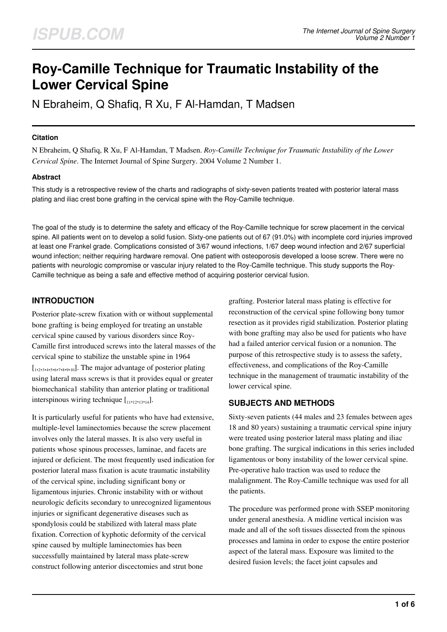# **Roy-Camille Technique for Traumatic Instability of the Lower Cervical Spine**

N Ebraheim, Q Shafiq, R Xu, F Al-Hamdan, T Madsen

#### **Citation**

N Ebraheim, Q Shafiq, R Xu, F Al-Hamdan, T Madsen. *Roy-Camille Technique for Traumatic Instability of the Lower Cervical Spine*. The Internet Journal of Spine Surgery. 2004 Volume 2 Number 1.

### **Abstract**

This study is a retrospective review of the charts and radiographs of sixty-seven patients treated with posterior lateral mass plating and iliac crest bone grafting in the cervical spine with the Roy-Camille technique.

The goal of the study is to determine the safety and efficacy of the Roy-Camille technique for screw placement in the cervical spine. All patients went on to develop a solid fusion. Sixty-one patients out of 67 (91.0%) with incomplete cord injuries improved at least one Frankel grade. Complications consisted of 3/67 wound infections, 1/67 deep wound infection and 2/67 superficial wound infection; neither requiring hardware removal. One patient with osteoporosis developed a loose screw. There were no patients with neurologic compromise or vascular injury related to the Roy-Camille technique. This study supports the Roy-Camille technique as being a safe and effective method of acquiring posterior cervical fusion.

## **INTRODUCTION**

Posterior plate-screw fixation with or without supplemental bone grafting is being employed for treating an unstable cervical spine caused by various disorders since Roy-Camille first introduced screws into the lateral masses of the cervical spine to stabilize the unstable spine in 1964 [1,2,3,4,5,6,7,8,9,10]. The major advantage of posterior plating using lateral mass screws is that it provides equal or greater biomechanica1 stability than anterior plating or traditional interspinous wiring technique  $\left[11,12,13,14\right]$ .

It is particularly useful for patients who have had extensive, multiple-level laminectomies because the screw placement involves only the lateral masses. It is also very useful in patients whose spinous processes, laminae, and facets are injured or deficient. The most frequently used indication for posterior lateral mass fixation is acute traumatic instability of the cervical spine, including significant bony or ligamentous injuries. Chronic instability with or without neurologic deficits secondary to unrecognized ligamentous injuries or significant degenerative diseases such as spondylosis could be stabilized with lateral mass plate fixation. Correction of kyphotic deformity of the cervical spine caused by multiple laminectomies has been successfully maintained by lateral mass plate-screw construct following anterior discectomies and strut bone

grafting. Posterior lateral mass plating is effective for reconstruction of the cervical spine following bony tumor resection as it provides rigid stabilization. Posterior plating with bone grafting may also be used for patients who have had a failed anterior cervical fusion or a nonunion. The purpose of this retrospective study is to assess the safety, effectiveness, and complications of the Roy-Camille technique in the management of traumatic instability of the lower cervical spine.

## **SUBJECTS AND METHODS**

Sixty-seven patients (44 males and 23 females between ages 18 and 80 years) sustaining a traumatic cervical spine injury were treated using posterior lateral mass plating and iliac bone grafting. The surgical indications in this series included ligamentous or bony instability of the lower cervical spine. Pre-operative halo traction was used to reduce the malalignment. The Roy-Camille technique was used for all the patients.

The procedure was performed prone with SSEP monitoring under general anesthesia. A midline vertical incision was made and all of the soft tissues dissected from the spinous processes and lamina in order to expose the entire posterior aspect of the lateral mass. Exposure was limited to the desired fusion levels; the facet joint capsules and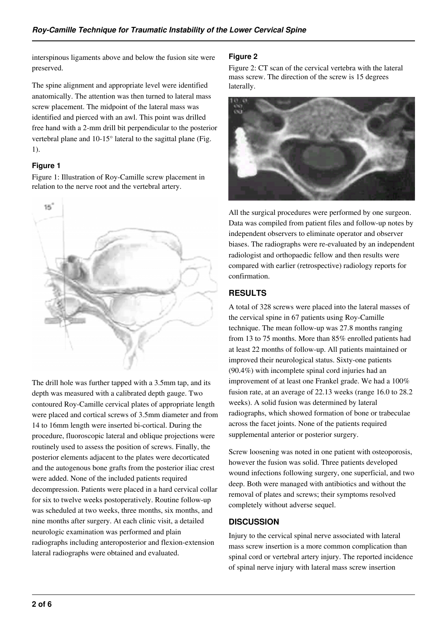interspinous ligaments above and below the fusion site were preserved.

The spine alignment and appropriate level were identified anatomically. The attention was then turned to lateral mass screw placement. The midpoint of the lateral mass was identified and pierced with an awl. This point was drilled free hand with a 2-mm drill bit perpendicular to the posterior vertebral plane and 10-15° lateral to the sagittal plane (Fig. 1).

### **Figure 1**

Figure 1: Illustration of Roy-Camille screw placement in relation to the nerve root and the vertebral artery.



The drill hole was further tapped with a 3.5mm tap, and its depth was measured with a calibrated depth gauge. Two contoured Roy-Camille cervical plates of appropriate length were placed and cortical screws of 3.5mm diameter and from 14 to 16mm length were inserted bi-cortical. During the procedure, fluoroscopic lateral and oblique projections were routinely used to assess the position of screws. Finally, the posterior elements adjacent to the plates were decorticated and the autogenous bone grafts from the posterior iliac crest were added. None of the included patients required decompression. Patients were placed in a hard cervical collar for six to twelve weeks postoperatively. Routine follow-up was scheduled at two weeks, three months, six months, and nine months after surgery. At each clinic visit, a detailed neurologic examination was performed and plain radiographs including anteroposterior and flexion-extension lateral radiographs were obtained and evaluated.

### **Figure 2**

Figure 2: CT scan of the cervical vertebra with the lateral mass screw. The direction of the screw is 15 degrees laterally.



All the surgical procedures were performed by one surgeon. Data was compiled from patient files and follow-up notes by independent observers to eliminate operator and observer biases. The radiographs were re-evaluated by an independent radiologist and orthopaedic fellow and then results were compared with earlier (retrospective) radiology reports for confirmation.

## **RESULTS**

A total of 328 screws were placed into the lateral masses of the cervical spine in 67 patients using Roy-Camille technique. The mean follow-up was 27.8 months ranging from 13 to 75 months. More than 85% enrolled patients had at least 22 months of follow-up. All patients maintained or improved their neurological status. Sixty-one patients (90.4%) with incomplete spinal cord injuries had an improvement of at least one Frankel grade. We had a 100% fusion rate, at an average of 22.13 weeks (range 16.0 to 28.2 weeks). A solid fusion was determined by lateral radiographs, which showed formation of bone or trabeculae across the facet joints. None of the patients required supplemental anterior or posterior surgery.

Screw loosening was noted in one patient with osteoporosis, however the fusion was solid. Three patients developed wound infections following surgery, one superficial, and two deep. Both were managed with antibiotics and without the removal of plates and screws; their symptoms resolved completely without adverse sequel.

## **DISCUSSION**

Injury to the cervical spinal nerve associated with lateral mass screw insertion is a more common complication than spinal cord or vertebral artery injury. The reported incidence of spinal nerve injury with lateral mass screw insertion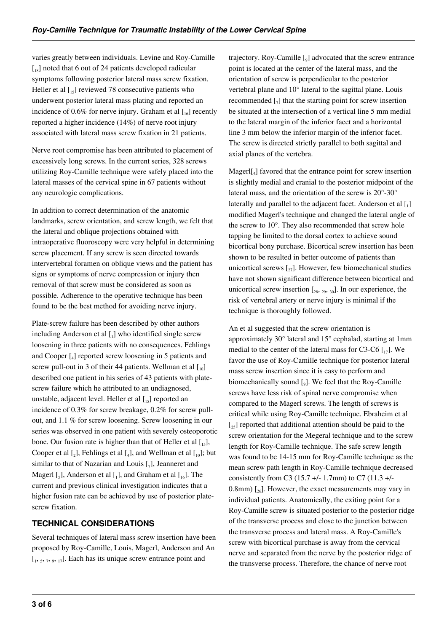varies greatly between individuals. Levine and Roy-Camille  $\left[18\right]$  noted that 6 out of 24 patients developed radicular symptoms following posterior lateral mass screw fixation. Heller et al  $\begin{bmatrix} 15 \end{bmatrix}$  reviewed 78 consecutive patients who underwent posterior lateral mass plating and reported an incidence of 0.6% for nerve injury. Graham et al  $\int_{16}$  recently reported a higher incidence (14%) of nerve root injury associated with lateral mass screw fixation in 21 patients.

Nerve root compromise has been attributed to placement of excessively long screws. In the current series, 328 screws utilizing Roy-Camille technique were safely placed into the lateral masses of the cervical spine in 67 patients without any neurologic complications.

In addition to correct determination of the anatomic landmarks, screw orientation, and screw length, we felt that the lateral and oblique projections obtained with intraoperative fluoroscopy were very helpful in determining screw placement. If any screw is seen directed towards intervertebral foramen on oblique views and the patient has signs or symptoms of nerve compression or injury then removal of that screw must be considered as soon as possible. Adherence to the operative technique has been found to be the best method for avoiding nerve injury.

Plate-screw failure has been described by other authors including Anderson et al  $\left[ \begin{smallmatrix} 1 \end{smallmatrix} \right]$  who identified single screw loosening in three patients with no consequences. Fehlings and Cooper [<sup>4</sup> ] reported screw loosening in 5 patients and screw pull-out in 3 of their 44 patients. Wellman et al  $\lceil n_0 \rceil$ described one patient in his series of 43 patients with platescrew failure which he attributed to an undiagnosed, unstable, adjacent level. Heller et al  $\left[\begin{smallmatrix} 1 & 1 \\ 1 & 5 \end{smallmatrix}\right]$  reported an incidence of 0.3% for screw breakage, 0.2% for screw pullout, and 1.1 % for screw loosening. Screw loosening in our series was observed in one patient with severely osteoporotic bone. Our fusion rate is higher than that of Heller et al  $\left[ \begin{smallmatrix} 1 & 1 \\ 1 & 5 \end{smallmatrix} \right]$ Cooper et al  $\left[_2\right]$ , Fehlings et al  $\left[_4\right]$ , and Wellman et al  $\left[_1\right]$ ; but similar to that of Nazarian and Louis  $[\,_7]$ , Jeanneret and Magerl  $\left[\begin{smallmatrix}5\end{smallmatrix}\right]$ , Anderson et al  $\left[\begin{smallmatrix}1\end{smallmatrix}\right]$ , and Graham et al  $\left[\begin{smallmatrix}16\end{smallmatrix}\right]$ . The current and previous clinical investigation indicates that a higher fusion rate can be achieved by use of posterior platescrew fixation.

## **TECHNICAL CONSIDERATIONS**

Several techniques of lateral mass screw insertion have been proposed by Roy-Camille, Louis, Magerl, Anderson and An  $[1, 5, 7, 9, 17]$ . Each has its unique screw entrance point and

trajectory. Roy-Camille [9] advocated that the screw entrance point is located at the center of the lateral mass, and the orientation of screw is perpendicular to the posterior vertebral plane and 10° lateral to the sagittal plane. Louis recommended  $\left[\begin{smallmatrix}7\end{smallmatrix}\right]$  that the starting point for screw insertion be situated at the intersection of a vertical line 5 mm medial to the lateral margin of the inferior facet and a horizontal line 3 mm below the inferior margin of the inferior facet. The screw is directed strictly parallel to both sagittal and axial planes of the vertebra.

 $MagerI[<sub>s</sub>]$  favored that the entrance point for screw insertion is slightly medial and cranial to the posterior midpoint of the lateral mass, and the orientation of the screw is 20°-30° laterally and parallel to the adjacent facet. Anderson et al [1] modified Magerl's technique and changed the lateral angle of the screw to 10°. They also recommended that screw hole tapping be limited to the dorsal cortex to achieve sound bicortical bony purchase. Bicortical screw insertion has been shown to be resulted in better outcome of patients than unicortical screws  $\lceil z_7 \rceil$ . However, few biomechanical studies have not shown significant difference between bicortical and unicortical screw insertion  $[28, 29, 30]$ . In our experience, the risk of vertebral artery or nerve injury is minimal if the technique is thoroughly followed.

An et al suggested that the screw orientation is approximately 30° lateral and 15° cephalad, starting at 1mm medial to the center of the lateral mass for C3-C6  $\left[\right]_{17}$ . We favor the use of Roy-Camille technique for posterior lateral mass screw insertion since it is easy to perform and biomechanically sound [9]. We feel that the Roy-Camille screws have less risk of spinal nerve compromise when compared to the Magerl screws. The length of screws is critical while using Roy-Camille technique. Ebraheim et al  $\left[\right]_{25}$  reported that additional attention should be paid to the screw orientation for the Megeral technique and to the screw length for Roy-Camille technique. The safe screw length was found to be 14-15 mm for Roy-Camille technique as the mean screw path length in Roy-Camille technique decreased consistently from C3 (15.7 +/- 1.7mm) to C7 (11.3 +/-0.8mm)  $\left[\right]_{26}$ . However, the exact measurements may vary in individual patients. Anatomically, the exiting point for a Roy-Camille screw is situated posterior to the posterior ridge of the transverse process and close to the junction between the transverse process and lateral mass. A Roy-Camille's screw with bicortical purchase is away from the cervical nerve and separated from the nerve by the posterior ridge of the transverse process. Therefore, the chance of nerve root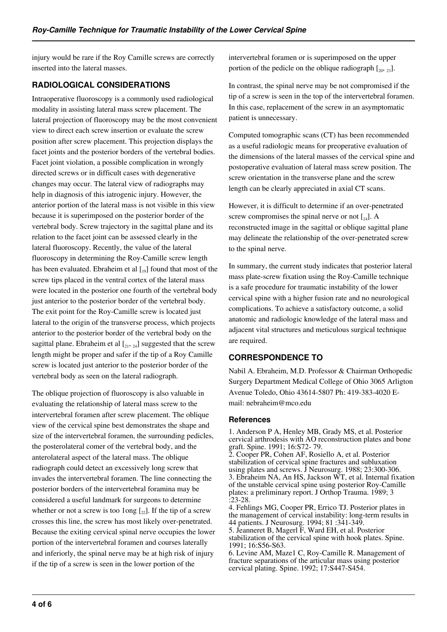injury would be rare if the Roy Camille screws are correctly inserted into the lateral masses.

## **RADIOLOGICAL CONSIDERATIONS**

Intraoperative fluoroscopy is a commonly used radiological modality in assisting lateral mass screw placement. The lateral projection of fluoroscopy may be the most convenient view to direct each screw insertion or evaluate the screw position after screw placement. This projection displays the facet joints and the posterior borders of the vertebral bodies. Facet joint violation, a possible complication in wrongly directed screws or in difficult cases with degenerative changes may occur. The lateral view of radiographs may help in diagnosis of this iatrogenic injury. However, the anterior portion of the lateral mass is not visible in this view because it is superimposed on the posterior border of the vertebral body. Screw trajectory in the sagittal plane and its relation to the facet joint can be assessed clearly in the lateral fluoroscopy. Recently, the value of the lateral fluoroscopy in determining the Roy-Camille screw length has been evaluated. Ebraheim et al  $\lceil v_0 \rceil$  found that most of the screw tips placed in the ventral cortex of the lateral mass were located in the posterior one fourth of the vertebral body just anterior to the posterior border of the vertebral body. The exit point for the Roy-Camille screw is located just lateral to the origin of the transverse process, which projects anterior to the posterior border of the vertebral body on the sagittal plane. Ebraheim et al  $\left[2, 2, 24\right]$  suggested that the screw length might be proper and safer if the tip of a Roy Camille screw is located just anterior to the posterior border of the vertebral body as seen on the lateral radiograph.

The oblique projection of fluoroscopy is also valuable in evaluating the relationship of lateral mass screw to the intervertebral foramen after screw placement. The oblique view of the cervical spine best demonstrates the shape and size of the intervertebral foramen, the surrounding pedicles, the posterolateral comer of the vertebral body, and the anterolateral aspect of the lateral mass. The oblique radiograph could detect an excessively long screw that invades the intervertebral foramen. The line connecting the posterior borders of the intervertebral foramina may be considered a useful landmark for surgeons to determine whether or not a screw is too 1ong  $\left[\frac{1}{22}\right]$ . If the tip of a screw crosses this line, the screw has most likely over-penetrated. Because the exiting cervical spinal nerve occupies the lower portion of the intervertebral foramen and courses laterally and inferiorly, the spinal nerve may be at high risk of injury if the tip of a screw is seen in the lower portion of the

intervertebral foramen or is superimposed on the upper portion of the pedicle on the oblique radiograph  $[20, 23]$ .

In contrast, the spinal nerve may be not compromised if the tip of a screw is seen in the top of the intervertebral foramen. In this case, replacement of the screw in an asymptomatic patient is unnecessary.

Computed tomographic scans (CT) has been recommended as a useful radiologic means for preoperative evaluation of the dimensions of the lateral masses of the cervical spine and postoperative evaluation of lateral mass screw position. The screw orientation in the transverse plane and the screw length can be clearly appreciated in axial CT scans.

However, it is difficult to determine if an over-penetrated screw compromises the spinal nerve or not  $\left[\begin{smallmatrix} 24 \end{smallmatrix}\right]$ . A reconstructed image in the sagittal or oblique sagittal plane may delineate the relationship of the over-penetrated screw to the spinal nerve.

In summary, the current study indicates that posterior lateral mass plate-screw fixation using the Roy-Camille technique is a safe procedure for traumatic instability of the lower cervical spine with a higher fusion rate and no neurological complications. To achieve a satisfactory outcome, a solid anatomic and radiologic knowledge of the lateral mass and adjacent vital structures and meticulous surgical technique are required.

## **CORRESPONDENCE TO**

Nabil A. Ebraheim, M.D. Professor & Chairman Orthopedic Surgery Department Medical College of Ohio 3065 Arligton Avenue Toledo, Ohio 43614-5807 Ph: 419-383-4020 Email: nebraheim@mco.edu

### **References**

1. Anderson P A, Henley MB, Grady MS, et al. Posterior cervical arthrodesis with AO reconstruction plates and bone graft. Spine. 1991; 16:S72- 79.

2. Cooper PR, Cohen AF, Rosiello A, et al. Posterior stabilization of cervical spine fractures and subluxation using plates and screws. J Neurosurg. 1988; 23:300-306. 3. Ebraheim NA, An HS, Jackson WT, et al. Internal fixation of the unstable cervical spine using posterior Roy-Camille plates: a preliminary report. J Orthop Trauma. 1989; 3  $:23-28$ 

4. Fehlings MG, Cooper PR, Errico TJ. Posterior plates in the management of cervical instability: long-term results in 44 patients. J Neurosurg. 1994; 81 :341-349. 5. Jeanneret B, Magerl F, Ward EH, et al. Posterior stabilization of the cervical spine with hook plates. Spine. 1991; 16:S56-S63.

6. Levine AM, Maze1 C, Roy-Camille R. Management of fracture separations of the articular mass using posterior cervical plating. Spine. 1992; 17:S447-S454.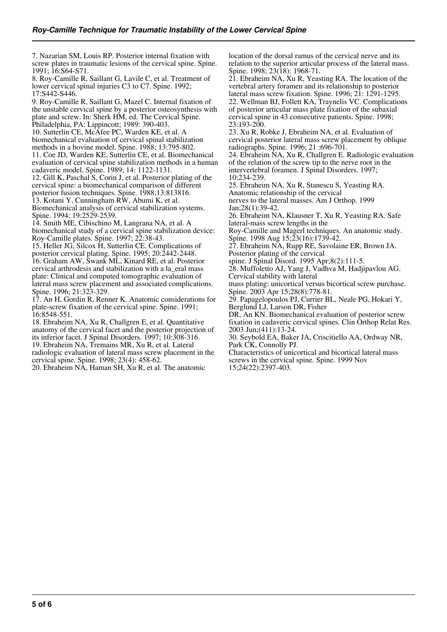7. Nazarian SM, Louis RP. Posterior internal fixation with screw plates in traumatic lesions of the cervical spine. Spine. 1991; 16:S64-S71.

8. Roy-Camille R, Saillant G, Lavile C, et al. Treatment of lower cervical spinal injuries C3 to C7. Spine. 1992; 17:S442-S446.

9. Roy-Camille R, Saillant G, Mazel C. Internal fixation of the unstable cervical spine by a posterior osteosynthesis with plate and screw. In: Sherk HM, ed. The Cervical Spine. Philadelphia, PA: Lippincott; 1989: 390-403.

10. Sutterlin CE, McAfee PC, Warden KE, et al. A biomechanical evaluation of cervical spinal stabilization methods in a bovine model. Spine. 1988; 13:795-802. 11. Coe JD, Warden KE, Sutterlin CE, et al. Biomechanical evaluation of cervical spine stabilization methods in a human cadaveric model. Spine. 1989; 14: 1122-1131.

12. Gill K, Paschal S, Corin J, et al. Posterior plating of the cervical spine: a biomechanical comparison of different posterior fusion techniques. Spine. 1988;13:813816.

13. Kotani Y, Cunningham RW, Abumi K, et al. Biomechanical analysis of cervical stabilization systems.

Spine. 1994; 19:2529-2539. 14. Smith ME, Cibischino M, Langrana NA, et al. A

biomechanical study of a cervical spine stabilization device: Roy-Camille plates. Spine. 1997; 22:38-43.

15. Heller JG, Silcox H, Sutterlin CE. Complications of posterior cervical plating. Spine. 1995; 20:2442-2448. 16. Graham AW, Swank ML, Kinard RE, et al. Posterior cervical arthrodesis and stabilization with a la\_eral mass plate: Clinical and computed tomographic evaluation of lateral mass screw placement and associated complications. Spine. 1996; 21:323-329.

17. An H, Gordin R, Renner K. Anatomic considerations for plate-screw fixation of the cervical spine. Spine. 1991; 16:8548-551.

18. Ebraheim NA, Xu R, Challgren E, et al. Quantitative anatomy of the cervical facet and the posterior projection of its inferior facet. J Spinal Disorders. 1997; 10:308-316. 19. Ebraheim NA, Tremains MR, Xu R, et al. Lateral radiologic evaluation of lateral mass screw placement in the cervical spine. Spine. 1998; 23(4): 458-62.

20. Ebraheim NA, Haman SH, Xu R, et al. The anatomic

location of the dorsal ramus of the cervical nerve and its relation to the superior articular process of the lateral mass. Spine. 1998; 23(18): 1968-71.

21. Ebraheim NA, Xu R, Yeasting RA. The location of the vertebral artery foramen and its relationship to posterior lateral mass screw fixation. Spine. 1996; 21: 1291-1295. 22. Wellman BJ, Follett KA, Traynelis VC. Complications of posterior articular mass plate fixation of the subaxial cervical spine in 43 consecutive patients. Spine. 1998; 23:193-200.

23. Xu R, Robke J, Ebraheim NA, et al. Evaluation of cervical posterior lateral mass screw placement by oblique radiographs. Spine. 1996; 21 :696-701.

24. Ebraheim NA, Xu R, Challgren E. Radiologic evaluation of the relation of the screw tip to the nerve root in the intervertebral foramen. J Spinal Disorders. 1997; 10:234-239.

25. Ebraheim NA, Xu R, Stanescu S, Yeasting RA. Anatomic relationship of the cervical

nerves to the lateral masses. Am J Orthop. 1999 Jan;28(1):39-42.

26. Ebraheim NA, Klausner T, Xu R, Yeasting RA. Safe lateral-mass screw lengths in the

Roy-Camille and Magerl techniques. An anatomic study. Spine. 1998 Aug 15;23(16):1739-42.

27. Ebraheim NA, Rupp RE, Savolaine ER, Brown JA. Posterior plating of the cervical

spine. J Spinal Disord. 1995 Apr;8(2):111-5.

28. Muffoletto AJ, Yang J, Vadhva M, Hadjipavlou AG. Cervical stability with lateral

mass plating: unicortical versus bicortical screw purchase. Spine. 2003 Apr 15;28(8):778-81.

29. Papagelopoulos PJ, Currier BL, Neale PG, Hokari Y, Berglund LJ, Larson DR, Fisher

DR, An KN. Biomechanical evaluation of posterior screw fixation in cadaveric cervical spines. Clin Orthop Relat Res. 2003 Jun;(411):13-24.

30. Seybold EA, Baker JA, Criscitiello AA, Ordway NR, Park CK, Connolly PJ.

Characteristics of unicortical and bicortical lateral mass screws in the cervical spine. Spine. 1999 Nov 15;24(22):2397-403.